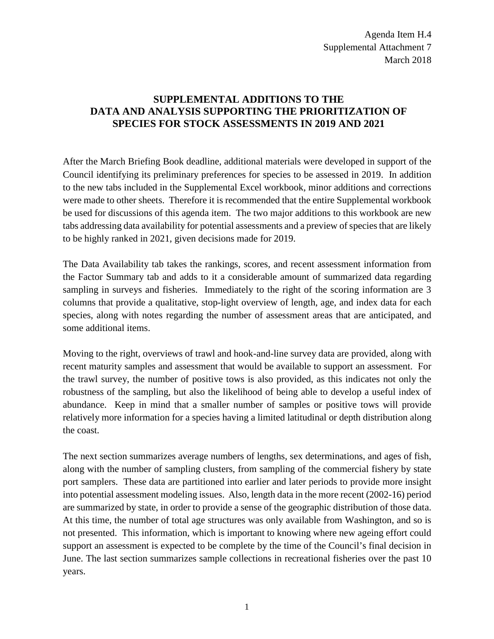Agenda Item H.4 Supplemental Attachment 7 March 2018

## **SUPPLEMENTAL ADDITIONS TO THE DATA AND ANALYSIS SUPPORTING THE PRIORITIZATION OF SPECIES FOR STOCK ASSESSMENTS IN 2019 AND 2021**

After the March Briefing Book deadline, additional materials were developed in support of the Council identifying its preliminary preferences for species to be assessed in 2019. In addition to the new tabs included in the Supplemental Excel workbook, minor additions and corrections were made to other sheets. Therefore it is recommended that the entire Supplemental workbook be used for discussions of this agenda item. The two major additions to this workbook are new tabs addressing data availability for potential assessments and a preview of species that are likely to be highly ranked in 2021, given decisions made for 2019.

The Data Availability tab takes the rankings, scores, and recent assessment information from the Factor Summary tab and adds to it a considerable amount of summarized data regarding sampling in surveys and fisheries. Immediately to the right of the scoring information are 3 columns that provide a qualitative, stop-light overview of length, age, and index data for each species, along with notes regarding the number of assessment areas that are anticipated, and some additional items.

Moving to the right, overviews of trawl and hook-and-line survey data are provided, along with recent maturity samples and assessment that would be available to support an assessment. For the trawl survey, the number of positive tows is also provided, as this indicates not only the robustness of the sampling, but also the likelihood of being able to develop a useful index of abundance. Keep in mind that a smaller number of samples or positive tows will provide relatively more information for a species having a limited latitudinal or depth distribution along the coast.

The next section summarizes average numbers of lengths, sex determinations, and ages of fish, along with the number of sampling clusters, from sampling of the commercial fishery by state port samplers. These data are partitioned into earlier and later periods to provide more insight into potential assessment modeling issues. Also, length data in the more recent (2002-16) period are summarized by state, in order to provide a sense of the geographic distribution of those data. At this time, the number of total age structures was only available from Washington, and so is not presented. This information, which is important to knowing where new ageing effort could support an assessment is expected to be complete by the time of the Council's final decision in June. The last section summarizes sample collections in recreational fisheries over the past 10 years.